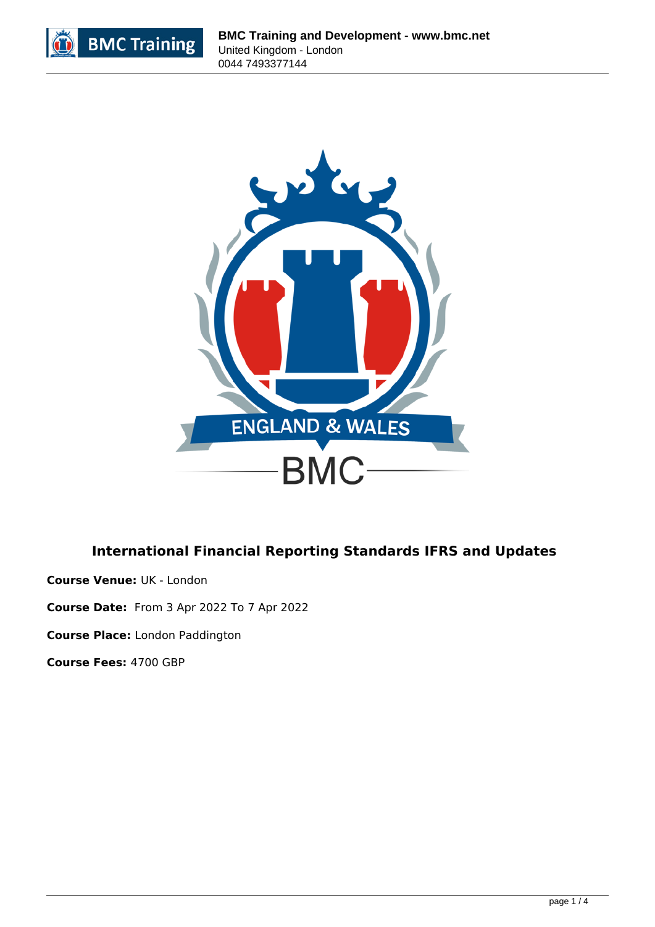



# **International Financial Reporting Standards IFRS and Updates**

**Course Venue:** UK - London

**Course Date:** From 3 Apr 2022 To 7 Apr 2022

**Course Place:** London Paddington

**Course Fees:** 4700 GBP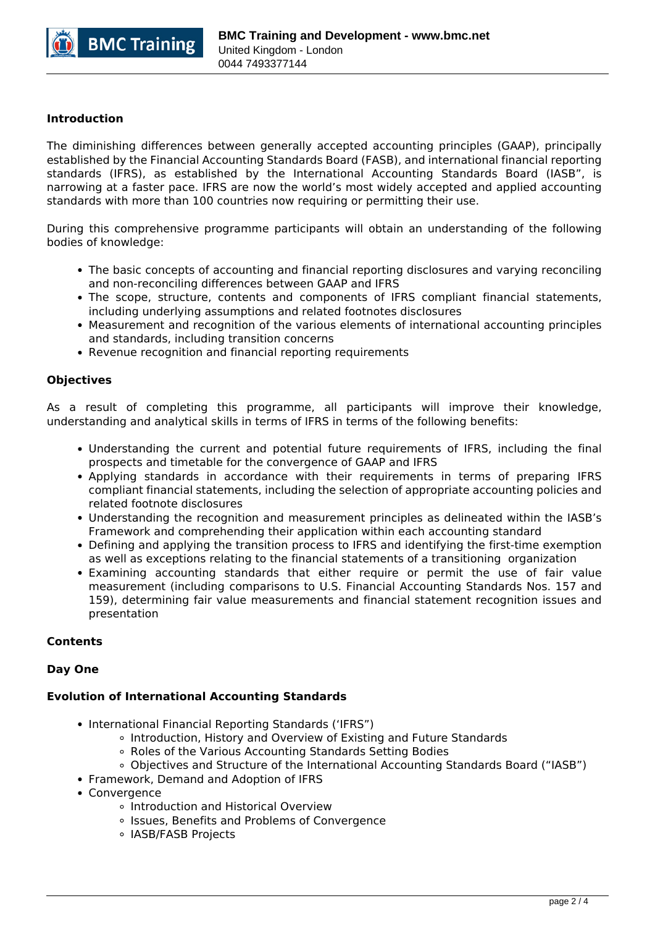

# **Introduction**

The diminishing differences between generally accepted accounting principles (GAAP), principally established by the Financial Accounting Standards Board (FASB), and international financial reporting standards (IFRS), as established by the International Accounting Standards Board (IASB", is narrowing at a faster pace. IFRS are now the world's most widely accepted and applied accounting standards with more than 100 countries now requiring or permitting their use.

During this comprehensive programme participants will obtain an understanding of the following bodies of knowledge:

- The basic concepts of accounting and financial reporting disclosures and varying reconciling and non-reconciling differences between GAAP and IFRS
- The scope, structure, contents and components of IFRS compliant financial statements, including underlying assumptions and related footnotes disclosures
- Measurement and recognition of the various elements of international accounting principles and standards, including transition concerns
- Revenue recognition and financial reporting requirements

## **Objectives**

As a result of completing this programme, all participants will improve their knowledge, understanding and analytical skills in terms of IFRS in terms of the following benefits:

- Understanding the current and potential future requirements of IFRS, including the final prospects and timetable for the convergence of GAAP and IFRS
- Applying standards in accordance with their requirements in terms of preparing IFRS compliant financial statements, including the selection of appropriate accounting policies and related footnote disclosures
- Understanding the recognition and measurement principles as delineated within the IASB's Framework and comprehending their application within each accounting standard
- Defining and applying the transition process to IFRS and identifying the first-time exemption as well as exceptions relating to the financial statements of a transitioning organization
- Examining accounting standards that either require or permit the use of fair value measurement (including comparisons to U.S. Financial Accounting Standards Nos. 157 and 159), determining fair value measurements and financial statement recognition issues and presentation

## **Contents**

## **Day One**

## **Evolution of International Accounting Standards**

- International Financial Reporting Standards ('IFRS")
	- Introduction, History and Overview of Existing and Future Standards
	- Roles of the Various Accounting Standards Setting Bodies
	- Objectives and Structure of the International Accounting Standards Board ("IASB")
- Framework, Demand and Adoption of IFRS
- Convergence
	- o Introduction and Historical Overview
	- o Issues, Benefits and Problems of Convergence
	- o IASB/FASB Projects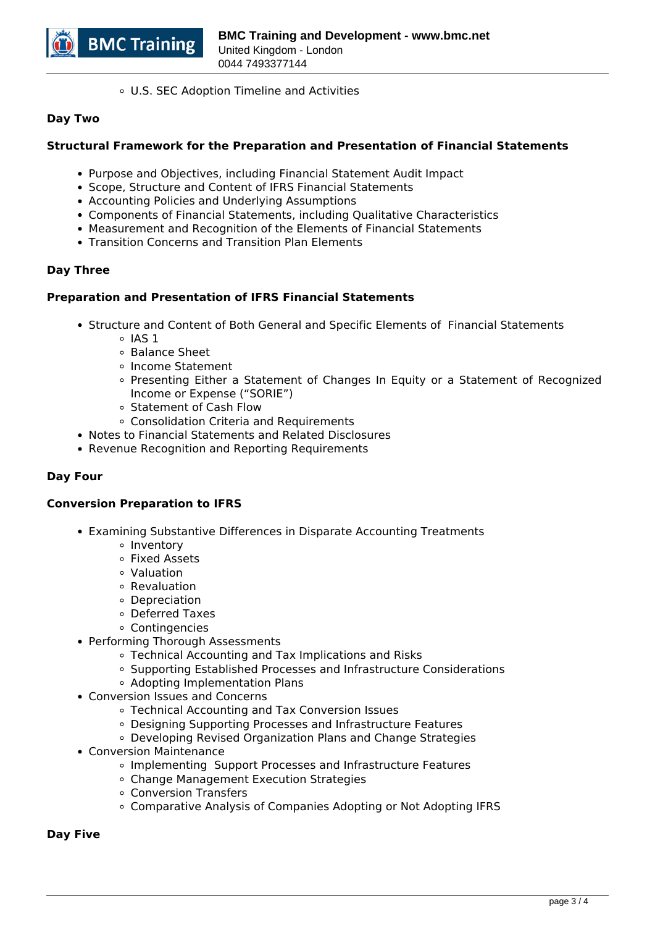

U.S. SEC Adoption Timeline and Activities

## **Day Two**

# **Structural Framework for the Preparation and Presentation of Financial Statements**

- Purpose and Objectives, including Financial Statement Audit Impact
- Scope, Structure and Content of IFRS Financial Statements
- Accounting Policies and Underlying Assumptions
- Components of Financial Statements, including Qualitative Characteristics
- Measurement and Recognition of the Elements of Financial Statements
- Transition Concerns and Transition Plan Elements

# **Day Three**

# **Preparation and Presentation of IFRS Financial Statements**

- Structure and Content of Both General and Specific Elements of Financial Statements
	- $\circ$  IAS 1
	- Balance Sheet
	- Income Statement
	- Presenting Either a Statement of Changes In Equity or a Statement of Recognized Income or Expense ("SORIE")
	- Statement of Cash Flow
	- Consolidation Criteria and Requirements
- Notes to Financial Statements and Related Disclosures
- Revenue Recognition and Reporting Requirements

# **Day Four**

## **Conversion Preparation to IFRS**

- Examining Substantive Differences in Disparate Accounting Treatments
	- <sup>o</sup> Inventory
	- Fixed Assets
	- Valuation
	- Revaluation
	- Depreciation
	- Deferred Taxes
	- Contingencies
- Performing Thorough Assessments
	- Technical Accounting and Tax Implications and Risks
	- Supporting Established Processes and Infrastructure Considerations
	- Adopting Implementation Plans
- Conversion Issues and Concerns
	- Technical Accounting and Tax Conversion Issues
	- Designing Supporting Processes and Infrastructure Features
	- Developing Revised Organization Plans and Change Strategies
- Conversion Maintenance
	- Implementing Support Processes and Infrastructure Features
	- Change Management Execution Strategies
	- Conversion Transfers
	- Comparative Analysis of Companies Adopting or Not Adopting IFRS

**Day Five**